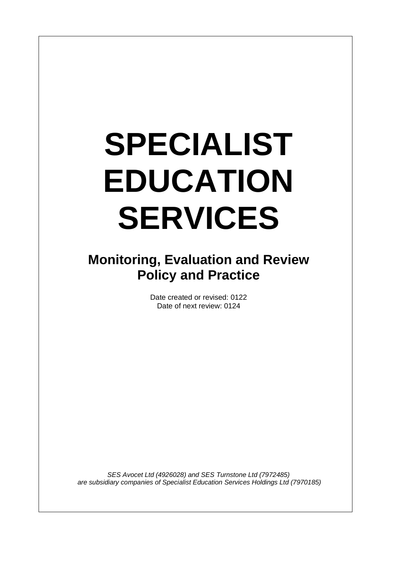# **SPECIALIST EDUCATION SERVICES**

 $\overline{\phantom{a}}$ 

# **Monitoring, Evaluation and Review Policy and Practice**

Date created or revised: 0122 Date of next review: 0124

*SES Avocet Ltd (4926028) and SES Turnstone Ltd (7972485) are subsidiary companies of Specialist Education Services Holdings Ltd (7970185)*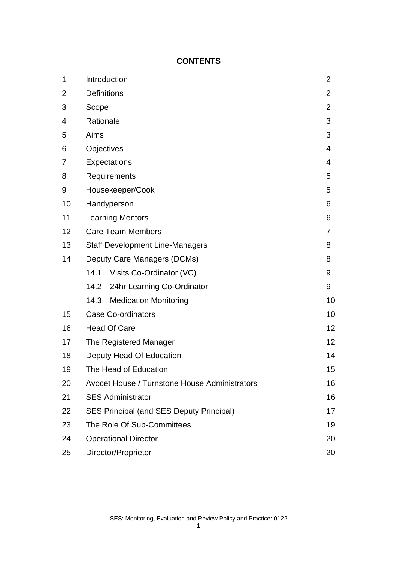## **CONTENTS**

| 1              | Introduction                                    | 2  |
|----------------|-------------------------------------------------|----|
| $\overline{2}$ | <b>Definitions</b>                              | 2  |
| 3              | Scope                                           | 2  |
| 4              | Rationale                                       | 3  |
| 5              | Aims                                            | 3  |
| 6              | Objectives                                      | 4  |
| 7              | Expectations                                    | 4  |
| 8              | Requirements                                    | 5  |
| 9              | Housekeeper/Cook                                | 5  |
| 10             | Handyperson                                     | 6  |
| 11             | <b>Learning Mentors</b>                         | 6  |
| 12             | <b>Care Team Members</b>                        | 7  |
| 13             | <b>Staff Development Line-Managers</b>          | 8  |
| 14             | Deputy Care Managers (DCMs)                     | 8  |
|                | Visits Co-Ordinator (VC)<br>14.1                | 9  |
|                | 14.2 24hr Learning Co-Ordinator                 | 9  |
|                | <b>Medication Monitoring</b><br>14.3            | 10 |
| 15             | <b>Case Co-ordinators</b>                       | 10 |
| 16             | <b>Head Of Care</b>                             | 12 |
| 17             | The Registered Manager                          | 12 |
| 18             | Deputy Head Of Education                        | 14 |
| 19             | The Head of Education                           | 15 |
| 20             | Avocet House / Turnstone House Administrators   | 16 |
| 21             | <b>SES Administrator</b>                        | 16 |
| 22             | <b>SES Principal (and SES Deputy Principal)</b> | 17 |
| 23             | The Role Of Sub-Committees                      | 19 |
| 24             | <b>Operational Director</b>                     | 20 |
| 25             | Director/Proprietor                             | 20 |

1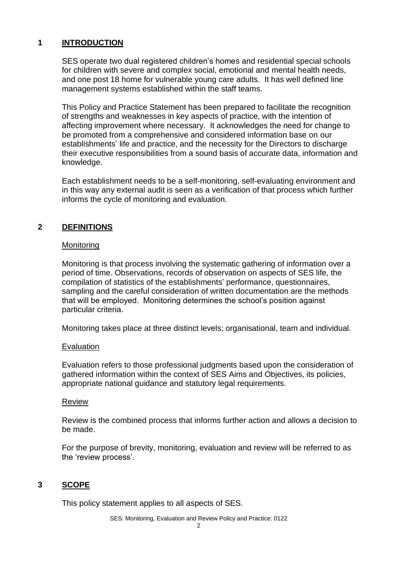#### **1 INTRODUCTION**

SES operate two dual registered children's homes and residential special schools for children with severe and complex social, emotional and mental health needs, and one post 18 home for vulnerable young care adults. It has well defined line management systems established within the staff teams.

This Policy and Practice Statement has been prepared to facilitate the recognition of strengths and weaknesses in key aspects of practice, with the intention of affecting improvement where necessary. It acknowledges the need for change to be promoted from a comprehensive and considered information base on our establishments' life and practice, and the necessity for the Directors to discharge their executive responsibilities from a sound basis of accurate data, information and knowledge.

Each establishment needs to be a self-monitoring, self-evaluating environment and in this way any external audit is seen as a verification of that process which further informs the cycle of monitoring and evaluation.

# **2 DEFINITIONS**

#### **Monitoring**

Monitoring is that process involving the systematic gathering of information over a period of time. Observations, records of observation on aspects of SES life, the compilation of statistics of the establishments' performance, questionnaires, sampling and the careful consideration of written documentation are the methods that will be employed. Monitoring determines the school's position against particular criteria.

Monitoring takes place at three distinct levels; organisational, team and individual.

#### Evaluation

Evaluation refers to those professional judgments based upon the consideration of gathered information within the context of SES Aims and Objectives, its policies, appropriate national guidance and statutory legal requirements.

#### Review

Review is the combined process that informs further action and allows a decision to be made.

For the purpose of brevity, monitoring, evaluation and review will be referred to as the 'review process'.

#### **3 SCOPE**

This policy statement applies to all aspects of SES.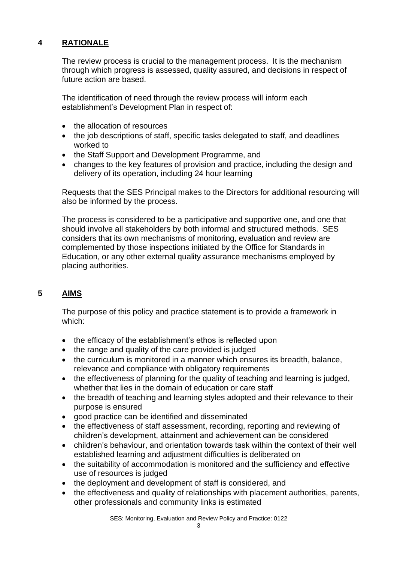# **4 RATIONALE**

The review process is crucial to the management process. It is the mechanism through which progress is assessed, quality assured, and decisions in respect of future action are based.

The identification of need through the review process will inform each establishment's Development Plan in respect of:

- the allocation of resources
- the job descriptions of staff, specific tasks delegated to staff, and deadlines worked to
- the Staff Support and Development Programme, and
- changes to the key features of provision and practice, including the design and delivery of its operation, including 24 hour learning

Requests that the SES Principal makes to the Directors for additional resourcing will also be informed by the process.

The process is considered to be a participative and supportive one, and one that should involve all stakeholders by both informal and structured methods. SES considers that its own mechanisms of monitoring, evaluation and review are complemented by those inspections initiated by the Office for Standards in Education, or any other external quality assurance mechanisms employed by placing authorities.

# **5 AIMS**

The purpose of this policy and practice statement is to provide a framework in which:

- the efficacy of the establishment's ethos is reflected upon
- the range and quality of the care provided is judged
- the curriculum is monitored in a manner which ensures its breadth, balance, relevance and compliance with obligatory requirements
- the effectiveness of planning for the quality of teaching and learning is judged, whether that lies in the domain of education or care staff
- the breadth of teaching and learning styles adopted and their relevance to their purpose is ensured
- good practice can be identified and disseminated
- the effectiveness of staff assessment, recording, reporting and reviewing of children's development, attainment and achievement can be considered
- children's behaviour, and orientation towards task within the context of their well established learning and adjustment difficulties is deliberated on
- the suitability of accommodation is monitored and the sufficiency and effective use of resources is judged
- the deployment and development of staff is considered, and
- the effectiveness and quality of relationships with placement authorities, parents, other professionals and community links is estimated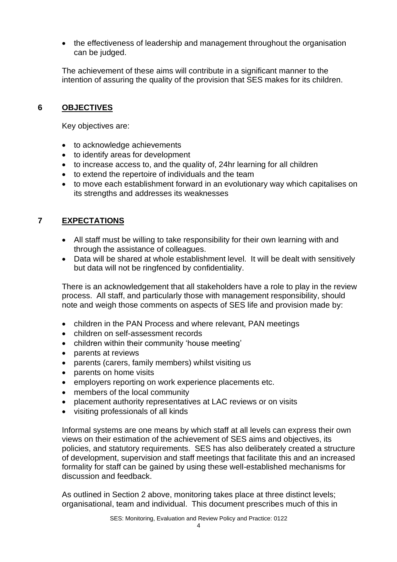• the effectiveness of leadership and management throughout the organisation can be judged.

The achievement of these aims will contribute in a significant manner to the intention of assuring the quality of the provision that SES makes for its children.

#### **6 OBJECTIVES**

Key objectives are:

- to acknowledge achievements
- to identify areas for development
- to increase access to, and the quality of, 24hr learning for all children
- to extend the repertoire of individuals and the team
- to move each establishment forward in an evolutionary way which capitalises on its strengths and addresses its weaknesses

#### **7 EXPECTATIONS**

- All staff must be willing to take responsibility for their own learning with and through the assistance of colleagues.
- Data will be shared at whole establishment level. It will be dealt with sensitively but data will not be ringfenced by confidentiality.

There is an acknowledgement that all stakeholders have a role to play in the review process. All staff, and particularly those with management responsibility, should note and weigh those comments on aspects of SES life and provision made by:

- children in the PAN Process and where relevant, PAN meetings
- children on self-assessment records
- children within their community 'house meeting'
- parents at reviews
- parents (carers, family members) whilst visiting us
- parents on home visits
- employers reporting on work experience placements etc.
- members of the local community
- placement authority representatives at LAC reviews or on visits
- visiting professionals of all kinds

Informal systems are one means by which staff at all levels can express their own views on their estimation of the achievement of SES aims and objectives, its policies, and statutory requirements. SES has also deliberately created a structure of development, supervision and staff meetings that facilitate this and an increased formality for staff can be gained by using these well-established mechanisms for discussion and feedback.

As outlined in Section 2 above, monitoring takes place at three distinct levels; organisational, team and individual. This document prescribes much of this in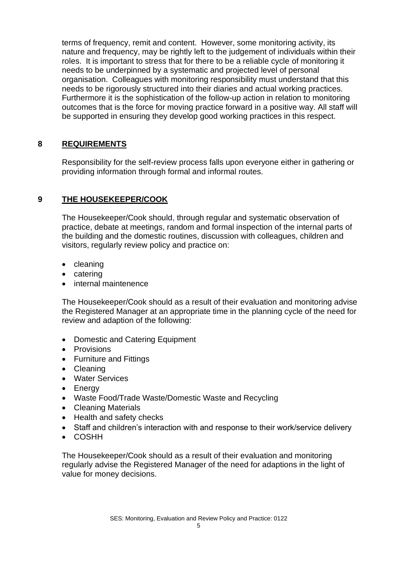terms of frequency, remit and content. However, some monitoring activity, its nature and frequency, may be rightly left to the judgement of individuals within their roles. It is important to stress that for there to be a reliable cycle of monitoring it needs to be underpinned by a systematic and projected level of personal organisation. Colleagues with monitoring responsibility must understand that this needs to be rigorously structured into their diaries and actual working practices. Furthermore it is the sophistication of the follow-up action in relation to monitoring outcomes that is the force for moving practice forward in a positive way. All staff will be supported in ensuring they develop good working practices in this respect.

### **8 REQUIREMENTS**

Responsibility for the self-review process falls upon everyone either in gathering or providing information through formal and informal routes.

#### **9 THE HOUSEKEEPER/COOK**

The Housekeeper/Cook should, through regular and systematic observation of practice, debate at meetings, random and formal inspection of the internal parts of the building and the domestic routines, discussion with colleagues, children and visitors, regularly review policy and practice on:

- cleaning
- catering
- internal maintenence

The Housekeeper/Cook should as a result of their evaluation and monitoring advise the Registered Manager at an appropriate time in the planning cycle of the need for review and adaption of the following:

- Domestic and Catering Equipment
- Provisions
- Furniture and Fittings
- Cleaning
- Water Services
- Energy
- Waste Food/Trade Waste/Domestic Waste and Recycling
- Cleaning Materials
- Health and safety checks
- Staff and children's interaction with and response to their work/service delivery
- COSHH

The Housekeeper/Cook should as a result of their evaluation and monitoring regularly advise the Registered Manager of the need for adaptions in the light of value for money decisions.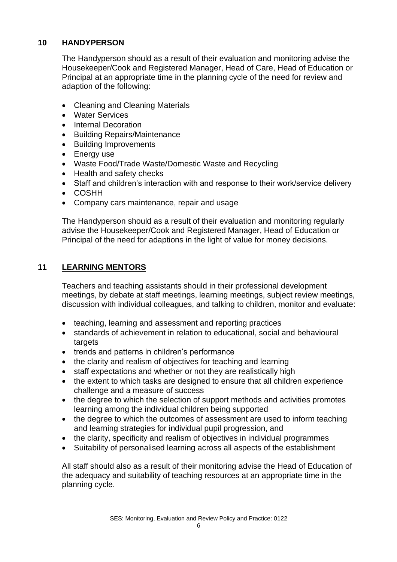#### **10 HANDYPERSON**

The Handyperson should as a result of their evaluation and monitoring advise the Housekeeper/Cook and Registered Manager, Head of Care, Head of Education or Principal at an appropriate time in the planning cycle of the need for review and adaption of the following:

- Cleaning and Cleaning Materials
- Water Services
- Internal Decoration
- Building Repairs/Maintenance
- Building Improvements
- Energy use
- Waste Food/Trade Waste/Domestic Waste and Recycling
- Health and safety checks
- Staff and children's interaction with and response to their work/service delivery
- COSHH
- Company cars maintenance, repair and usage

The Handyperson should as a result of their evaluation and monitoring regularly advise the Housekeeper/Cook and Registered Manager, Head of Education or Principal of the need for adaptions in the light of value for money decisions.

#### **11 LEARNING MENTORS**

Teachers and teaching assistants should in their professional development meetings, by debate at staff meetings, learning meetings, subject review meetings, discussion with individual colleagues, and talking to children, monitor and evaluate:

- teaching, learning and assessment and reporting practices
- standards of achievement in relation to educational, social and behavioural targets
- trends and patterns in children's performance
- the clarity and realism of objectives for teaching and learning
- staff expectations and whether or not they are realistically high
- the extent to which tasks are designed to ensure that all children experience challenge and a measure of success
- the degree to which the selection of support methods and activities promotes learning among the individual children being supported
- the degree to which the outcomes of assessment are used to inform teaching and learning strategies for individual pupil progression, and
- the clarity, specificity and realism of objectives in individual programmes
- Suitability of personalised learning across all aspects of the establishment

All staff should also as a result of their monitoring advise the Head of Education of the adequacy and suitability of teaching resources at an appropriate time in the planning cycle.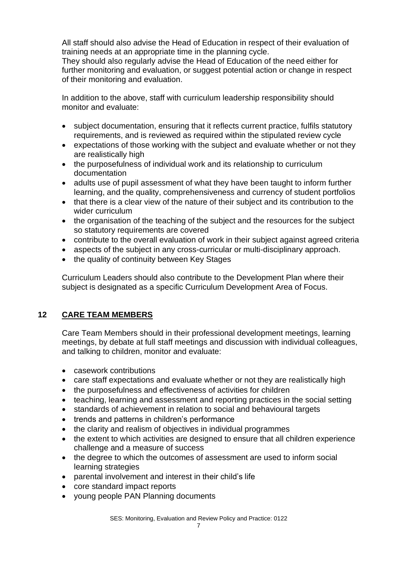All staff should also advise the Head of Education in respect of their evaluation of training needs at an appropriate time in the planning cycle.

They should also regularly advise the Head of Education of the need either for further monitoring and evaluation, or suggest potential action or change in respect of their monitoring and evaluation.

In addition to the above, staff with curriculum leadership responsibility should monitor and evaluate:

- subject documentation, ensuring that it reflects current practice, fulfils statutory requirements, and is reviewed as required within the stipulated review cycle
- expectations of those working with the subject and evaluate whether or not they are realistically high
- the purposefulness of individual work and its relationship to curriculum documentation
- adults use of pupil assessment of what they have been taught to inform further learning, and the quality, comprehensiveness and currency of student portfolios
- that there is a clear view of the nature of their subject and its contribution to the wider curriculum
- the organisation of the teaching of the subject and the resources for the subject so statutory requirements are covered
- contribute to the overall evaluation of work in their subject against agreed criteria
- aspects of the subject in any cross-curricular or multi-disciplinary approach.
- the quality of continuity between Key Stages

Curriculum Leaders should also contribute to the Development Plan where their subject is designated as a specific Curriculum Development Area of Focus.

# **12 CARE TEAM MEMBERS**

Care Team Members should in their professional development meetings, learning meetings, by debate at full staff meetings and discussion with individual colleagues, and talking to children, monitor and evaluate:

- casework contributions
- care staff expectations and evaluate whether or not they are realistically high
- the purposefulness and effectiveness of activities for children
- teaching, learning and assessment and reporting practices in the social setting
- standards of achievement in relation to social and behavioural targets
- trends and patterns in children's performance
- the clarity and realism of objectives in individual programmes
- the extent to which activities are designed to ensure that all children experience challenge and a measure of success
- the degree to which the outcomes of assessment are used to inform social learning strategies
- parental involvement and interest in their child's life
- core standard impact reports
- young people PAN Planning documents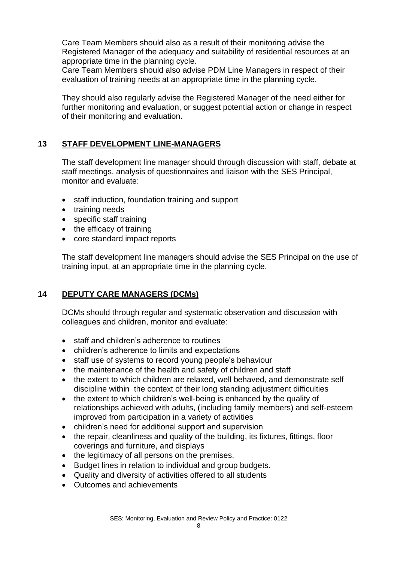Care Team Members should also as a result of their monitoring advise the Registered Manager of the adequacy and suitability of residential resources at an appropriate time in the planning cycle.

Care Team Members should also advise PDM Line Managers in respect of their evaluation of training needs at an appropriate time in the planning cycle.

They should also regularly advise the Registered Manager of the need either for further monitoring and evaluation, or suggest potential action or change in respect of their monitoring and evaluation.

#### **13 STAFF DEVELOPMENT LINE-MANAGERS**

The staff development line manager should through discussion with staff, debate at staff meetings, analysis of questionnaires and liaison with the SES Principal, monitor and evaluate:

- staff induction, foundation training and support
- training needs
- specific staff training
- the efficacy of training
- core standard impact reports

The staff development line managers should advise the SES Principal on the use of training input, at an appropriate time in the planning cycle.

#### **14 DEPUTY CARE MANAGERS (DCMs)**

DCMs should through regular and systematic observation and discussion with colleagues and children, monitor and evaluate:

- staff and children's adherence to routines
- children's adherence to limits and expectations
- staff use of systems to record young people's behaviour
- the maintenance of the health and safety of children and staff
- the extent to which children are relaxed, well behaved, and demonstrate self discipline within the context of their long standing adjustment difficulties
- the extent to which children's well-being is enhanced by the quality of relationships achieved with adults, (including family members) and self-esteem improved from participation in a variety of activities
- children's need for additional support and supervision
- the repair, cleanliness and quality of the building, its fixtures, fittings, floor coverings and furniture, and displays
- the legitimacy of all persons on the premises.
- Budget lines in relation to individual and group budgets.
- Quality and diversity of activities offered to all students
- Outcomes and achievements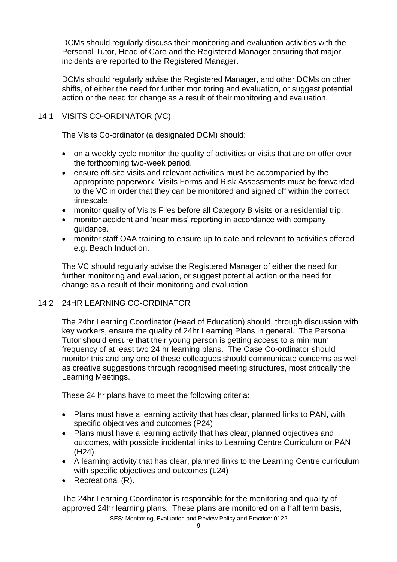DCMs should regularly discuss their monitoring and evaluation activities with the Personal Tutor, Head of Care and the Registered Manager ensuring that major incidents are reported to the Registered Manager.

DCMs should regularly advise the Registered Manager, and other DCMs on other shifts, of either the need for further monitoring and evaluation, or suggest potential action or the need for change as a result of their monitoring and evaluation.

#### 14.1 VISITS CO-ORDINATOR (VC)

The Visits Co-ordinator (a designated DCM) should:

- on a weekly cycle monitor the quality of activities or visits that are on offer over the forthcoming two-week period.
- ensure off-site visits and relevant activities must be accompanied by the appropriate paperwork. Visits Forms and Risk Assessments must be forwarded to the VC in order that they can be monitored and signed off within the correct timescale.
- monitor quality of Visits Files before all Category B visits or a residential trip.
- monitor accident and 'near miss' reporting in accordance with company guidance.
- monitor staff OAA training to ensure up to date and relevant to activities offered e.g. Beach Induction.

The VC should regularly advise the Registered Manager of either the need for further monitoring and evaluation, or suggest potential action or the need for change as a result of their monitoring and evaluation.

#### 14.2 24HR LEARNING CO-ORDINATOR

The 24hr Learning Coordinator (Head of Education) should, through discussion with key workers, ensure the quality of 24hr Learning Plans in general. The Personal Tutor should ensure that their young person is getting access to a minimum frequency of at least two 24 hr learning plans. The Case Co-ordinator should monitor this and any one of these colleagues should communicate concerns as well as creative suggestions through recognised meeting structures, most critically the Learning Meetings.

These 24 hr plans have to meet the following criteria:

- Plans must have a learning activity that has clear, planned links to PAN, with specific objectives and outcomes (P24)
- Plans must have a learning activity that has clear, planned objectives and outcomes, with possible incidental links to Learning Centre Curriculum or PAN (H24)
- A learning activity that has clear, planned links to the Learning Centre curriculum with specific objectives and outcomes (L24)
- Recreational (R).

The 24hr Learning Coordinator is responsible for the monitoring and quality of approved 24hr learning plans. These plans are monitored on a half term basis,

SES: Monitoring, Evaluation and Review Policy and Practice: 0122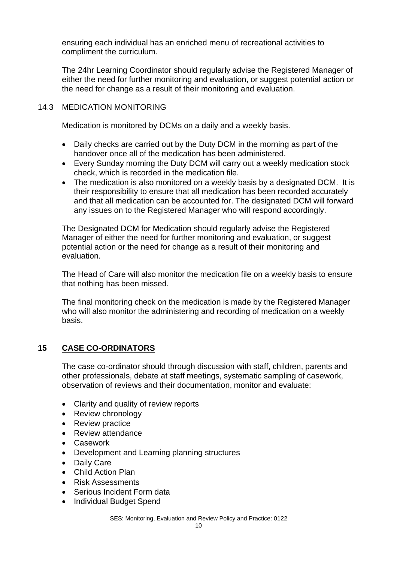ensuring each individual has an enriched menu of recreational activities to compliment the curriculum.

The 24hr Learning Coordinator should regularly advise the Registered Manager of either the need for further monitoring and evaluation, or suggest potential action or the need for change as a result of their monitoring and evaluation.

#### 14.3 MEDICATION MONITORING

Medication is monitored by DCMs on a daily and a weekly basis.

- Daily checks are carried out by the Duty DCM in the morning as part of the handover once all of the medication has been administered.
- Every Sunday morning the Duty DCM will carry out a weekly medication stock check, which is recorded in the medication file.
- The medication is also monitored on a weekly basis by a designated DCM. It is their responsibility to ensure that all medication has been recorded accurately and that all medication can be accounted for. The designated DCM will forward any issues on to the Registered Manager who will respond accordingly.

The Designated DCM for Medication should regularly advise the Registered Manager of either the need for further monitoring and evaluation, or suggest potential action or the need for change as a result of their monitoring and evaluation.

The Head of Care will also monitor the medication file on a weekly basis to ensure that nothing has been missed.

The final monitoring check on the medication is made by the Registered Manager who will also monitor the administering and recording of medication on a weekly basis.

#### **15 CASE CO-ORDINATORS**

The case co-ordinator should through discussion with staff, children, parents and other professionals, debate at staff meetings, systematic sampling of casework, observation of reviews and their documentation, monitor and evaluate:

- Clarity and quality of review reports
- Review chronology
- Review practice
- Review attendance
- Casework
- Development and Learning planning structures
- Daily Care
- Child Action Plan
- Risk Assessments
- Serious Incident Form data
- Individual Budget Spend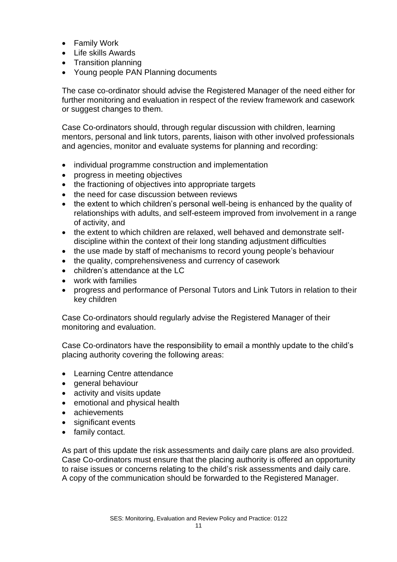- Family Work
- Life skills Awards
- Transition planning
- Young people PAN Planning documents

The case co-ordinator should advise the Registered Manager of the need either for further monitoring and evaluation in respect of the review framework and casework or suggest changes to them.

Case Co-ordinators should, through regular discussion with children, learning mentors, personal and link tutors, parents, liaison with other involved professionals and agencies, monitor and evaluate systems for planning and recording:

- individual programme construction and implementation
- progress in meeting objectives
- the fractioning of objectives into appropriate targets
- the need for case discussion between reviews
- the extent to which children's personal well-being is enhanced by the quality of relationships with adults, and self-esteem improved from involvement in a range of activity, and
- the extent to which children are relaxed, well behaved and demonstrate selfdiscipline within the context of their long standing adjustment difficulties
- the use made by staff of mechanisms to record young people's behaviour
- the quality, comprehensiveness and currency of casework
- children's attendance at the LC
- work with families
- progress and performance of Personal Tutors and Link Tutors in relation to their key children

Case Co-ordinators should regularly advise the Registered Manager of their monitoring and evaluation.

Case Co-ordinators have the responsibility to email a monthly update to the child's placing authority covering the following areas:

- Learning Centre attendance
- general behaviour
- activity and visits update
- emotional and physical health
- achievements
- significant events
- family contact.

As part of this update the risk assessments and daily care plans are also provided. Case Co-ordinators must ensure that the placing authority is offered an opportunity to raise issues or concerns relating to the child's risk assessments and daily care. A copy of the communication should be forwarded to the Registered Manager.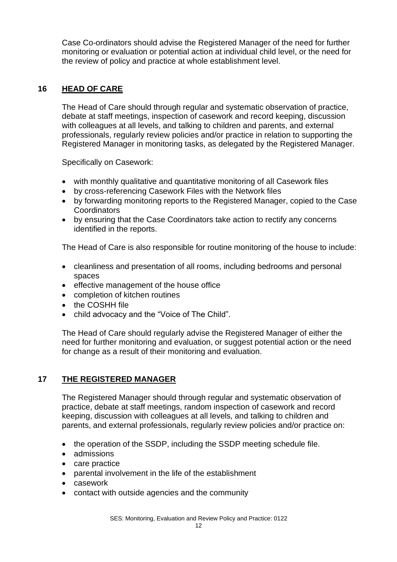Case Co-ordinators should advise the Registered Manager of the need for further monitoring or evaluation or potential action at individual child level, or the need for the review of policy and practice at whole establishment level.

#### **16 HEAD OF CARE**

The Head of Care should through regular and systematic observation of practice, debate at staff meetings, inspection of casework and record keeping, discussion with colleagues at all levels, and talking to children and parents, and external professionals, regularly review policies and/or practice in relation to supporting the Registered Manager in monitoring tasks, as delegated by the Registered Manager.

Specifically on Casework:

- with monthly qualitative and quantitative monitoring of all Casework files
- by cross-referencing Casework Files with the Network files
- by forwarding monitoring reports to the Registered Manager, copied to the Case Coordinators
- by ensuring that the Case Coordinators take action to rectify any concerns identified in the reports.

The Head of Care is also responsible for routine monitoring of the house to include:

- cleanliness and presentation of all rooms, including bedrooms and personal spaces
- effective management of the house office
- completion of kitchen routines
- the COSHH file
- child advocacy and the "Voice of The Child".

The Head of Care should regularly advise the Registered Manager of either the need for further monitoring and evaluation, or suggest potential action or the need for change as a result of their monitoring and evaluation.

#### **17 THE REGISTERED MANAGER**

The Registered Manager should through regular and systematic observation of practice, debate at staff meetings, random inspection of casework and record keeping, discussion with colleagues at all levels, and talking to children and parents, and external professionals, regularly review policies and/or practice on:

- the operation of the SSDP, including the SSDP meeting schedule file.
- admissions
- care practice
- parental involvement in the life of the establishment
- casework
- contact with outside agencies and the community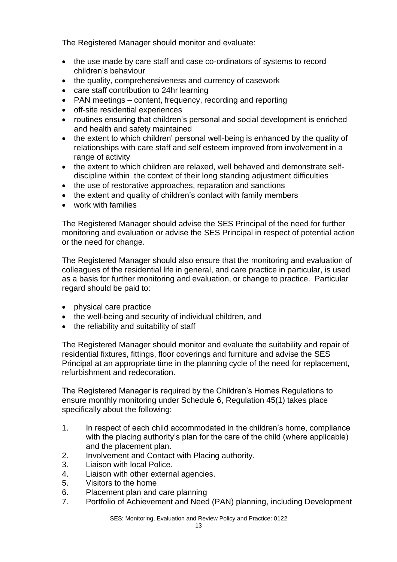The Registered Manager should monitor and evaluate:

- the use made by care staff and case co-ordinators of systems to record children's behaviour
- the quality, comprehensiveness and currency of casework
- care staff contribution to 24hr learning
- PAN meetings content, frequency, recording and reporting
- off-site residential experiences
- routines ensuring that children's personal and social development is enriched and health and safety maintained
- the extent to which children' personal well-being is enhanced by the quality of relationships with care staff and self esteem improved from involvement in a range of activity
- the extent to which children are relaxed, well behaved and demonstrate selfdiscipline within the context of their long standing adjustment difficulties
- the use of restorative approaches, reparation and sanctions
- the extent and quality of children's contact with family members
- work with families

The Registered Manager should advise the SES Principal of the need for further monitoring and evaluation or advise the SES Principal in respect of potential action or the need for change.

The Registered Manager should also ensure that the monitoring and evaluation of colleagues of the residential life in general, and care practice in particular, is used as a basis for further monitoring and evaluation, or change to practice. Particular regard should be paid to:

- physical care practice
- the well-being and security of individual children, and
- the reliability and suitability of staff

The Registered Manager should monitor and evaluate the suitability and repair of residential fixtures, fittings, floor coverings and furniture and advise the SES Principal at an appropriate time in the planning cycle of the need for replacement, refurbishment and redecoration.

The Registered Manager is required by the Children's Homes Regulations to ensure monthly monitoring under Schedule 6, Regulation 45(1) takes place specifically about the following:

- 1. In respect of each child accommodated in the children's home, compliance with the placing authority's plan for the care of the child (where applicable) and the placement plan.
- 2. Involvement and Contact with Placing authority.
- 3. Liaison with local Police.
- 4. Liaison with other external agencies.
- 5. Visitors to the home
- 6. Placement plan and care planning
- 7. Portfolio of Achievement and Need (PAN) planning, including Development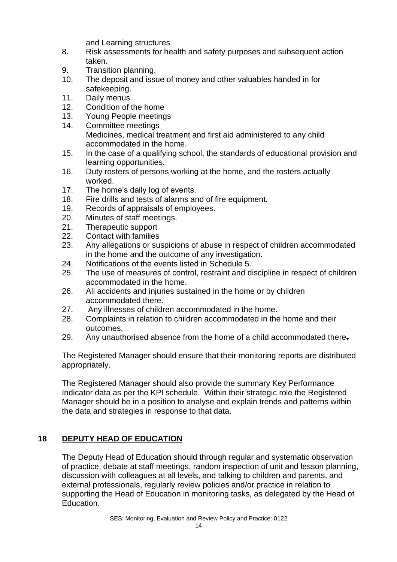and Learning structures

- 8. Risk assessments for health and safety purposes and subsequent action taken.
- 9. Transition planning.
- 10. The deposit and issue of money and other valuables handed in for safekeeping.
- 11. Daily menus
- 12. Condition of the home
- 13. Young People meetings
- 14. Committee meetings Medicines, medical treatment and first aid administered to any child accommodated in the home.
- 15. In the case of a qualifying school, the standards of educational provision and learning opportunities.
- 16. Duty rosters of persons working at the home, and the rosters actually worked.
- 17. The home's daily log of events.
- 18. Fire drills and tests of alarms and of fire equipment.
- 19. Records of appraisals of employees.
- 20. Minutes of staff meetings.
- 21. Therapeutic support
- 22. Contact with families
- 23. Any allegations or suspicions of abuse in respect of children accommodated in the home and the outcome of any investigation.
- 24. Notifications of the events listed in Schedule 5.
- 25. The use of measures of control, restraint and discipline in respect of children accommodated in the home.
- 26. All accidents and injuries sustained in the home or by children accommodated there.
- 27. Any illnesses of children accommodated in the home.
- 28. Complaints in relation to children accommodated in the home and their outcomes.
- 29. Any unauthorised absence from the home of a child accommodated there-

The Registered Manager should ensure that their monitoring reports are distributed appropriately.

The Registered Manager should also provide the summary Key Performance Indicator data as per the KPI schedule. Within their strategic role the Registered Manager should be in a position to analyse and explain trends and patterns within the data and strategies in response to that data.

# **18 DEPUTY HEAD OF EDUCATION**

The Deputy Head of Education should through regular and systematic observation of practice, debate at staff meetings, random inspection of unit and lesson planning, discussion with colleagues at all levels, and talking to children and parents, and external professionals, regularly review policies and/or practice in relation to supporting the Head of Education in monitoring tasks, as delegated by the Head of Education.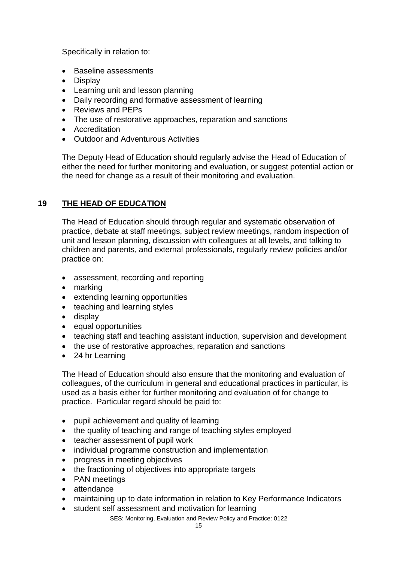Specifically in relation to:

- Baseline assessments
- Display
- Learning unit and lesson planning
- Daily recording and formative assessment of learning
- Reviews and PEPs
- The use of restorative approaches, reparation and sanctions
- Accreditation
- Outdoor and Adventurous Activities

The Deputy Head of Education should regularly advise the Head of Education of either the need for further monitoring and evaluation, or suggest potential action or the need for change as a result of their monitoring and evaluation.

# **19 THE HEAD OF EDUCATION**

The Head of Education should through regular and systematic observation of practice, debate at staff meetings, subject review meetings, random inspection of unit and lesson planning, discussion with colleagues at all levels, and talking to children and parents, and external professionals, regularly review policies and/or practice on:

- assessment, recording and reporting
- marking
- extending learning opportunities
- teaching and learning styles
- display
- equal opportunities
- teaching staff and teaching assistant induction, supervision and development
- the use of restorative approaches, reparation and sanctions
- 24 hr Learning

The Head of Education should also ensure that the monitoring and evaluation of colleagues, of the curriculum in general and educational practices in particular, is used as a basis either for further monitoring and evaluation of for change to practice. Particular regard should be paid to:

- pupil achievement and quality of learning
- the quality of teaching and range of teaching styles employed
- teacher assessment of pupil work
- individual programme construction and implementation
- progress in meeting objectives
- the fractioning of objectives into appropriate targets
- PAN meetings
- attendance
- maintaining up to date information in relation to Key Performance Indicators
- student self assessment and motivation for learning

SES: Monitoring, Evaluation and Review Policy and Practice: 0122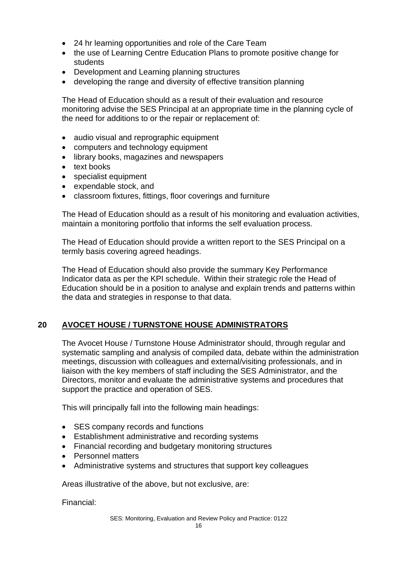- 24 hr learning opportunities and role of the Care Team
- the use of Learning Centre Education Plans to promote positive change for students
- Development and Learning planning structures
- developing the range and diversity of effective transition planning

The Head of Education should as a result of their evaluation and resource monitoring advise the SES Principal at an appropriate time in the planning cycle of the need for additions to or the repair or replacement of:

- audio visual and reprographic equipment
- computers and technology equipment
- library books, magazines and newspapers
- text books
- specialist equipment
- expendable stock, and
- classroom fixtures, fittings, floor coverings and furniture

The Head of Education should as a result of his monitoring and evaluation activities, maintain a monitoring portfolio that informs the self evaluation process.

The Head of Education should provide a written report to the SES Principal on a termly basis covering agreed headings.

The Head of Education should also provide the summary Key Performance Indicator data as per the KPI schedule. Within their strategic role the Head of Education should be in a position to analyse and explain trends and patterns within the data and strategies in response to that data.

#### **20 AVOCET HOUSE / TURNSTONE HOUSE ADMINISTRATORS**

The Avocet House / Turnstone House Administrator should, through regular and systematic sampling and analysis of compiled data, debate within the administration meetings, discussion with colleagues and external/visiting professionals, and in liaison with the key members of staff including the SES Administrator, and the Directors, monitor and evaluate the administrative systems and procedures that support the practice and operation of SES.

This will principally fall into the following main headings:

- SES company records and functions
- Establishment administrative and recording systems
- Financial recording and budgetary monitoring structures
- Personnel matters
- Administrative systems and structures that support key colleagues

Areas illustrative of the above, but not exclusive, are:

Financial: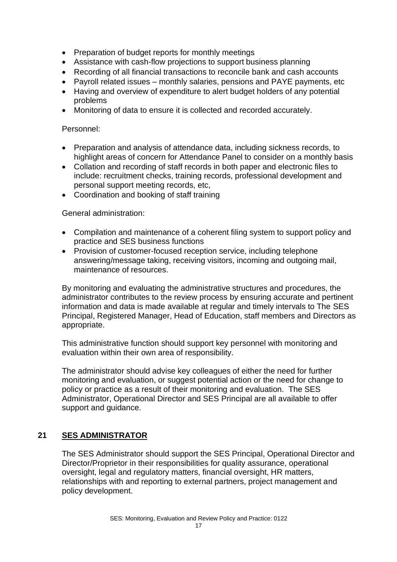- Preparation of budget reports for monthly meetings
- Assistance with cash-flow projections to support business planning
- Recording of all financial transactions to reconcile bank and cash accounts
- Payroll related issues monthly salaries, pensions and PAYE payments, etc
- Having and overview of expenditure to alert budget holders of any potential problems
- Monitoring of data to ensure it is collected and recorded accurately.

#### Personnel:

- Preparation and analysis of attendance data, including sickness records, to highlight areas of concern for Attendance Panel to consider on a monthly basis
- Collation and recording of staff records in both paper and electronic files to include: recruitment checks, training records, professional development and personal support meeting records, etc,
- Coordination and booking of staff training

#### General administration:

- Compilation and maintenance of a coherent filing system to support policy and practice and SES business functions
- Provision of customer-focused reception service, including telephone answering/message taking, receiving visitors, incoming and outgoing mail, maintenance of resources.

By monitoring and evaluating the administrative structures and procedures, the administrator contributes to the review process by ensuring accurate and pertinent information and data is made available at regular and timely intervals to The SES Principal, Registered Manager, Head of Education, staff members and Directors as appropriate.

This administrative function should support key personnel with monitoring and evaluation within their own area of responsibility.

The administrator should advise key colleagues of either the need for further monitoring and evaluation, or suggest potential action or the need for change to policy or practice as a result of their monitoring and evaluation. The SES Administrator, Operational Director and SES Principal are all available to offer support and guidance.

#### **21 SES ADMINISTRATOR**

The SES Administrator should support the SES Principal, Operational Director and Director/Proprietor in their responsibilities for quality assurance, operational oversight, legal and regulatory matters, financial oversight, HR matters, relationships with and reporting to external partners, project management and policy development.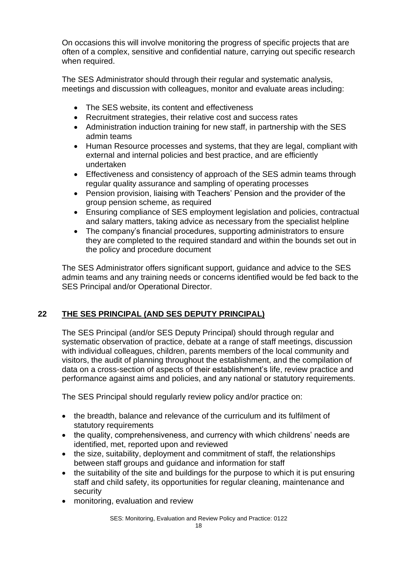On occasions this will involve monitoring the progress of specific projects that are often of a complex, sensitive and confidential nature, carrying out specific research when required.

The SES Administrator should through their regular and systematic analysis, meetings and discussion with colleagues, monitor and evaluate areas including:

- The SES website, its content and effectiveness
- Recruitment strategies, their relative cost and success rates
- Administration induction training for new staff, in partnership with the SES admin teams
- Human Resource processes and systems, that they are legal, compliant with external and internal policies and best practice, and are efficiently undertaken
- Effectiveness and consistency of approach of the SES admin teams through regular quality assurance and sampling of operating processes
- Pension provision, liaising with Teachers' Pension and the provider of the group pension scheme, as required
- Ensuring compliance of SES employment legislation and policies, contractual and salary matters, taking advice as necessary from the specialist helpline
- The company's financial procedures, supporting administrators to ensure they are completed to the required standard and within the bounds set out in the policy and procedure document

The SES Administrator offers significant support, guidance and advice to the SES admin teams and any training needs or concerns identified would be fed back to the SES Principal and/or Operational Director.

# **22 THE SES PRINCIPAL (AND SES DEPUTY PRINCIPAL)**

The SES Principal (and/or SES Deputy Principal) should through regular and systematic observation of practice, debate at a range of staff meetings, discussion with individual colleagues, children, parents members of the local community and visitors, the audit of planning throughout the establishment, and the compilation of data on a cross-section of aspects of their establishment's life, review practice and performance against aims and policies, and any national or statutory requirements.

The SES Principal should regularly review policy and/or practice on:

- the breadth, balance and relevance of the curriculum and its fulfilment of statutory requirements
- the quality, comprehensiveness, and currency with which childrens' needs are identified, met, reported upon and reviewed
- the size, suitability, deployment and commitment of staff, the relationships between staff groups and guidance and information for staff
- the suitability of the site and buildings for the purpose to which it is put ensuring staff and child safety, its opportunities for regular cleaning, maintenance and security
- monitoring, evaluation and review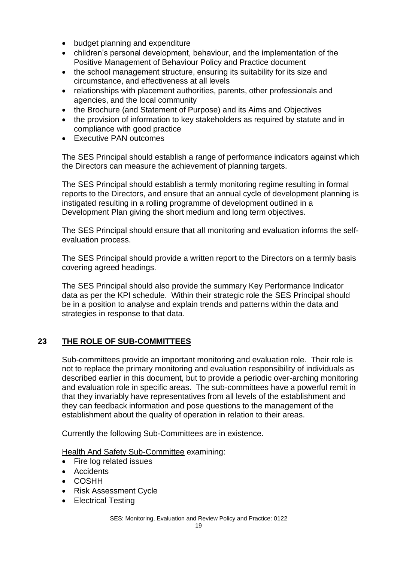- budget planning and expenditure
- children's personal development, behaviour, and the implementation of the Positive Management of Behaviour Policy and Practice document
- the school management structure, ensuring its suitability for its size and circumstance, and effectiveness at all levels
- relationships with placement authorities, parents, other professionals and agencies, and the local community
- the Brochure (and Statement of Purpose) and its Aims and Objectives
- the provision of information to key stakeholders as required by statute and in compliance with good practice
- **Executive PAN outcomes**

The SES Principal should establish a range of performance indicators against which the Directors can measure the achievement of planning targets.

The SES Principal should establish a termly monitoring regime resulting in formal reports to the Directors, and ensure that an annual cycle of development planning is instigated resulting in a rolling programme of development outlined in a Development Plan giving the short medium and long term objectives.

The SES Principal should ensure that all monitoring and evaluation informs the selfevaluation process.

The SES Principal should provide a written report to the Directors on a termly basis covering agreed headings.

The SES Principal should also provide the summary Key Performance Indicator data as per the KPI schedule. Within their strategic role the SES Principal should be in a position to analyse and explain trends and patterns within the data and strategies in response to that data.

#### **23 THE ROLE OF SUB-COMMITTEES**

Sub-committees provide an important monitoring and evaluation role. Their role is not to replace the primary monitoring and evaluation responsibility of individuals as described earlier in this document, but to provide a periodic over-arching monitoring and evaluation role in specific areas. The sub-committees have a powerful remit in that they invariably have representatives from all levels of the establishment and they can feedback information and pose questions to the management of the establishment about the quality of operation in relation to their areas.

Currently the following Sub-Committees are in existence.

Health And Safety Sub-Committee examining:

- Fire log related issues
- Accidents
- COSHH
- Risk Assessment Cycle
- Electrical Testing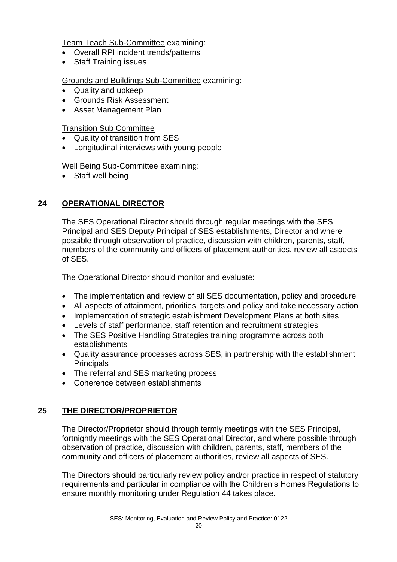Team Teach Sub-Committee examining:

- Overall RPI incident trends/patterns
- Staff Training issues

#### Grounds and Buildings Sub-Committee examining:

- Quality and upkeep
- Grounds Risk Assessment
- Asset Management Plan

Transition Sub Committee

- Quality of transition from SES
- Longitudinal interviews with young people

Well Being Sub-Committee examining:

• Staff well being

# **24 OPERATIONAL DIRECTOR**

The SES Operational Director should through regular meetings with the SES Principal and SES Deputy Principal of SES establishments, Director and where possible through observation of practice, discussion with children, parents, staff, members of the community and officers of placement authorities, review all aspects of SES.

The Operational Director should monitor and evaluate:

- The implementation and review of all SES documentation, policy and procedure
- All aspects of attainment, priorities, targets and policy and take necessary action
- Implementation of strategic establishment Development Plans at both sites
- Levels of staff performance, staff retention and recruitment strategies
- The SES Positive Handling Strategies training programme across both establishments
- Quality assurance processes across SES, in partnership with the establishment **Principals**
- The referral and SES marketing process
- Coherence between establishments

#### **25 THE DIRECTOR/PROPRIETOR**

The Director/Proprietor should through termly meetings with the SES Principal, fortnightly meetings with the SES Operational Director, and where possible through observation of practice, discussion with children, parents, staff, members of the community and officers of placement authorities, review all aspects of SES.

The Directors should particularly review policy and/or practice in respect of statutory requirements and particular in compliance with the Children's Homes Regulations to ensure monthly monitoring under Regulation 44 takes place.